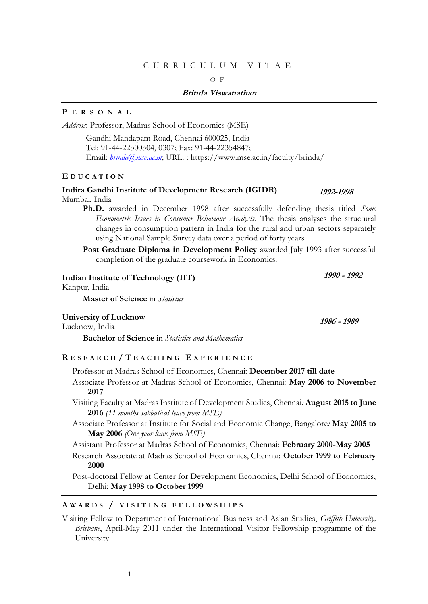# C U R R I C U L U M V I T A E

 $\Omega$  F

## **Brinda Viswanathan**

# **P E R S O N A L**

*Address*: Professor, Madras School of Economics (MSE)

 Gandhi Mandapam Road, Chennai 600025, India Tel: 91-44-22300304, 0307; Fax: 91-44-22354847; Email: *[brinda@mse.ac.in](mailto:brinda@mse.ac.in)*; URL: : https://www.mse.ac.in/faculty/brinda/

## **E D U C A T I O N**

#### **Indira Gandhi Institute of Development Research (IGIDR)** Mumbai, India

**Ph.D.** awarded in December 1998 after successfully defending thesis titled *Some Econometric Issues in Consumer Behaviour Analysis*. The thesis analyses the structural changes in consumption pattern in India for the rural and urban sectors separately using National Sample Survey data over a period of forty years.

**Post Graduate Diploma in Development Policy awarded July 1993 after successful** completion of the graduate coursework in Economics.

**Indian Institute of Technology (IIT)**

Kanpur, India

**Master of Science** in *Statistics*

## **University of Lucknow**

Lucknow, India

**Bachelor of Science** in *Statistics and Mathematics*

# **R E S E A R C H / T E A C H I N G E X P E R I E N C E**

Professor at Madras School of Economics, Chennai: **December 2017 till date**

- Associate Professor at Madras School of Economics, Chennai: **May 2006 to November 2017**
- Visiting Faculty at Madras Institute of Development Studies, Chennai*:* **August 2015 to June 2016** *(11 months sabbatical leave from MSE)*
- Associate Professor at Institute for Social and Economic Change, Bangalore*:* **May 2005 to May 2006** *(One year leave from MSE)*

Assistant Professor at Madras School of Economics, Chennai: **February 2000-May 2005**

Research Associate at Madras School of Economics, Chennai: **October 1999 to February 2000**

Post-doctoral Fellow at Center for Development Economics, Delhi School of Economics, Delhi: **May 1998 to October 1999**

## **A W A R D S / V I S I T I N G F E L L O W S H I P S**

Visiting Fellow to Department of International Business and Asian Studies, *Griffith University, Brisbane*, April-May 2011 under the International Visitor Fellowship programme of the University.

**1992-1998**

**1986 - 1989**

**1990 - 1992**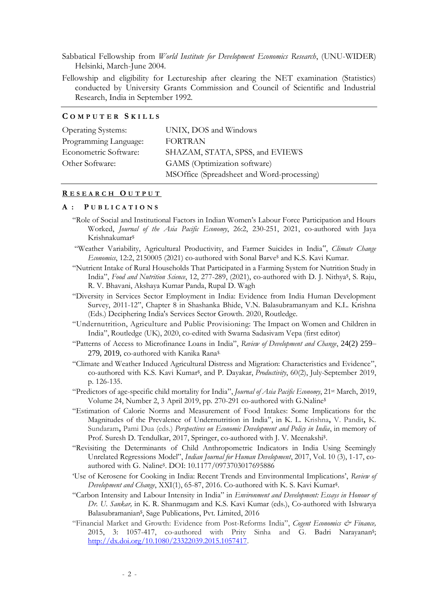- Sabbatical Fellowship from *World Institute for Development Economics Research*, (UNU-WIDER) Helsinki, March-June 2004.
- Fellowship and eligibility for Lectureship after clearing the NET examination (Statistics) conducted by University Grants Commission and Council of Scientific and Industrial Research, India in September 1992.

## **C O M P U T E R S K I L L S**

| <b>Operating Systems:</b> | UNIX, DOS and Windows                      |
|---------------------------|--------------------------------------------|
| Programming Language:     | <b>FORTRAN</b>                             |
| Econometric Software:     | SHAZAM, STATA, SPSS, and EVIEWS            |
| Other Software:           | GAMS (Optimization software)               |
|                           | MSOffice (Spreadsheet and Word-processing) |

## **R E S E A R C H O U T P U T**

#### **A : P U B L I C A T I O N S**

- "Role of Social and Institutional Factors in Indian Women's Labour Force Participation and Hours Worked, *Journal of the Asia Pacific Economy*, 26:2, 230-251, 2021, co-authored with Jaya Krishnakumar\$
- "Weather Variability, Agricultural Productivity, and Farmer Suicides in India", *Climate Change Economics*, 12:2, 2150005 (2021) co-authored with Sonal Barve\$ and K.S. Kavi Kumar.
- "Nutrient Intake of Rural Households That Participated in a Farming System for Nutrition Study in India", Food and Nutrition Science, 12, 277-289, (2021), co-authored with D. J. Nithya<sup>ş</sup>, S. Raju, R. V. Bhavani, Akshaya Kumar Panda, Rupal D. Wagh
- "Diversity in Services Sector Employment in India: Evidence from India Human Development Survey, 2011-12", Chapter 8 in Shashanka Bhide, V.N. Balasubramanyam and K.L. Krishna (Eds.) Deciphering India's Services Sector Growth. 2020, Routledge.
- "Undernutrition, Agriculture and Public Provisioning: The Impact on Women and Children in India", Routledge (UK), 2020, co-edited with Swarna Sadasivam Vepa (first editor)
- "Patterns of Access to Microfinance Loans in India", *Review of Development and Change*, 24(2) 259– 279, 2019, co-authored with Kanika Rana\$.
- "Climate and Weather Induced Agricultural Distress and Migration: Characteristics and Evidence", co-authored with K.S. Kavi Kumar\$ , and P. Dayakar, *Productivity*, 60(2), July-September 2019, p. 126-135.
- "Predictors of age-specific child mortality for India", *Journal of Asia Pacific Economy*, 21st March, 2019, Volume 24, Number 2, 3 April 2019, pp. 270-291 co-authored with G.Naline\$
- "Estimation of Calorie Norms and Measurement of Food Intakes: Some Implications for the Magnitudes of the Prevalence of Undernutrition in India", in K. L. Krishna**,** V. Pandit**,** K. Sundaram**,** Pami Dua (eds.) *Perspectives on Economic Development and Policy in India*, in memory of Prof. Suresh D. Tendulkar, 2017, Springer, co-authored with J. V. Meenakshi<sup>s</sup>.
- "Revisiting the Determinants of Child Anthropometric Indicators in India Using Seemingly Unrelated Regressions Model", *Indian Journal for Human Development*, 2017, Vol. 10 (3), 1-17, coauthored with G. Naline\$ . DOI: 10.1177/0973703017695886
- 'Use of Kerosene for Cooking in India: Recent Trends and Environmental Implications', *Review of Development and Change*, XXI(1), 65-87, 2016. Co-authored with K. S. Kavi Kumar\$ .
- "Carbon Intensity and Labour Intensity in India" in *Environment and Development: Essays in Honour of Dr. U. Sankar,* in K. R. Shanmugam and K.S. Kavi Kumar (eds.), Co-authored with Ishwarya Balasubramanian\$ , Sage Publications, Pvt. Limited, 2016
- "Financial Market and Growth: Evidence from Post-Reforms India", *Cogent Economics & Finance,* 2015, 3: 1057-417, co-authored with Prity Sinha and G. Badri Narayanan<sup>s</sup>; [http://dx.doi.org/10.1080/23322039.2015.1057417.](http://dx.doi.org/10.1080/23322039.2015.1057417)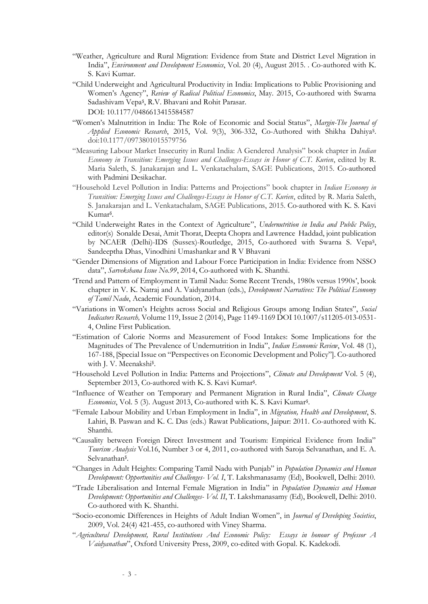- "Weather, Agriculture and Rural Migration: Evidence from State and District Level Migration in India", *Environment and Development Economics*, Vol. 20 (4), August 2015. . Co-authored with K. S. Kavi Kumar.
- "Child Underweight and Agricultural Productivity in India: Implications to Public Provisioning and Women's Agency", *Review of Radical Political Economics*, May. 2015, Co-authored with Swarna Sadashivam Vepa\$ , R.V. Bhavani and Rohit Parasar. DOI: 10.1177/0486613415584587
- "Women's Malnutrition in India: The Role of Economic and Social Status", *Margin-The Journal of*  Applied Economic Research, 2015, Vol. 9(3), 306-332, Co-Authored with Shikha Dahiya<sup>ş</sup>. doi:10.1177/0973801015579756
- "Measuring Labour Market Insecurity in Rural India: A Gendered Analysis" book chapter in *Indian Economy in Transition: Emerging Issues and Challenges-Essays in Honor of C.T. Kurien*, edited by R. Maria Saleth, S. Janakarajan and L. Venkatachalam, SAGE Publications, 2015. Co-authored with Padmini Desikachar.
- "Household Level Pollution in India: Patterns and Projections" book chapter in *Indian Economy in Transition: Emerging Issues and Challenges-Essays in Honor of C.T. Kurien*, edited by R. Maria Saleth, S. Janakarajan and L. Venkatachalam, SAGE Publications, 2015. Co-authored with K. S. Kavi Kumar\$ .
- "Child Underweight Rates in the Context of Agriculture", *Undernutrition in India and Public Policy*, editor(s) Sonalde Desai, Amit Thorat, Deepta Chopra and Lawrence Haddad, joint publication by NCAER (Delhi)-IDS (Sussex)-Routledge, 2015, Co-authored with Swarna S. Vepa\$, Sandeeptha Dhas, Vinodhini Umashankar and R V Bhavani
- "Gender Dimensions of Migration and Labour Force Participation in India: Evidence from NSSO data", *Sarvekshana Issue No.99*, 2014, Co-authored with K. Shanthi.
- 'Trend and Pattern of Employment in Tamil Nadu: Some Recent Trends, 1980s versus 1990s', book chapter in V. K. Natraj and A. Vaidyanathan (eds.), *Development Narratives: The Political Economy of Tamil Nadu*, Academic Foundation, 2014.
- "Variations in Women's Heights across Social and Religious Groups among Indian States", *Social Indicators Research,* Volume 119, Issue 2 (2014), Page 1149-1169 DOI 10.1007/s11205-013-0531- 4, Online First Publication.
- "Estimation of Calorie Norms and Measurement of Food Intakes: Some Implications for the Magnitudes of The Prevalence of Undernutrition in India", *Indian Economic Review*, Vol. 48 (1), 167-188, [Special Issue on "Perspectives on Economic Development and Policy"]. Co-authored with J. V. Meenakshi<sup>\$</sup>.
- "Household Level Pollution in India: Patterns and Projections", *Climate and Development* Vol. 5 (4), September 2013, Co-authored with K. S. Kavi Kumar<sup>§</sup>.
- "Influence of Weather on Temporary and Permanent Migration in Rural India", *Climate Change*  Economics, Vol. 5 (3). August 2013, Co-authored with K. S. Kavi Kumar<sup>§</sup>.
- "Female Labour Mobility and Urban Employment in India", in *Migration, Health and Development*, S. Lahiri, B. Paswan and K. C. Das (eds.) Rawat Publications, Jaipur: 2011. Co-authored with K. Shanthi.
- "Causality between Foreign Direct Investment and Tourism: Empirical Evidence from India" *Tourism Analysis* Vol.16, Number 3 or 4, 2011, co-authored with Saroja Selvanathan, and E. A. Selvanathan\$ .
- "Changes in Adult Heights: Comparing Tamil Nadu with Punjab" in *Population Dynamics and Human Development: Opportunities and Challenges- Vol. I*, T. Lakshmanasamy (Ed), Bookwell, Delhi: 2010.
- "Trade Liberalisation and Internal Female Migration in India" in *Population Dynamics and Human Development: Opportunities and Challenges- Vol. II*, T. Lakshmanasamy (Ed), Bookwell, Delhi: 2010. Co-authored with K. Shanthi.
- "Socio-economic Differences in Heights of Adult Indian Women", in *Journal of Developing Societies*, 2009, Vol. 24(4) 421-455, co-authored with Viney Sharma.
- "*Agricultural Development, Rural Institutions And Economic Policy: Essays in honour of Professor A Vaidyanathan*", Oxford University Press, 2009, co-edited with Gopal. K. Kadekodi.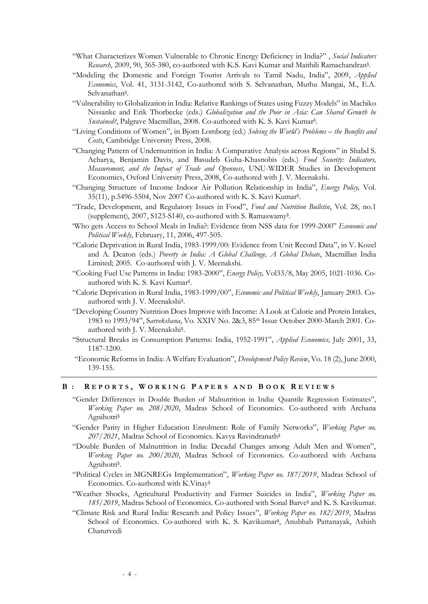- "What Characterizes Women Vulnerable to Chronic Energy Deficiency in India?" , *Social Indicators* Research, 2009, 90, 365-380, co-authored with K.S. Kavi Kumar and Maithili Ramachandran<sup>s</sup>.
- "Modeling the Domestic and Foreign Tourist Arrivals to Tamil Nadu, India", 2009, *Applied Economics*, Vol. 41, 3131-3142, Co-authored with S. Selvanathan, Muthu Mangai, M., E.A. Selvanathan\$ .
- "Vulnerability to Globalization in India: Relative Rankings of States using Fuzzy Models" in Machiko Nissanke and Erik Thorbecke (eds.) *Globalization and the Poor in Asia: Can Shared Growth be*  Sustained?, Palgrave Macmillan, 2008. Co-authored with K. S. Kavi Kumar<sup>§</sup>.
- "Living Conditions of Women", in Bjorn Lomborg (ed.) *Solving the World's Problems – the Benefits and Costs*, Cambridge University Press, 2008.
- "Changing Pattern of Undernutrition in India: A Comparative Analysis across Regions" in Shabd S. Acharya, Benjamin Davis, and Basudeb Guha-Khasnobis (eds.) *Food Security: Indicators, Measurement, and the Impact of Trade and Openness*, UNU-WIDER Studies in Development Economics, Oxford University Press, 2008, Co-authored with J. V. Meenakshi.
- "Changing Structure of Income Indoor Air Pollution Relationship in India", *Energy Policy,* Vol. 35(11), p.5496-5504, Nov 2007 Co-authored with K. S. Kavi Kumar\$ .
- "Trade, Development, and Regulatory Issues in Food", *Food and Nutrition Bulletin*, Vol. 28, no.1 (supplement), 2007, S123-S140, co-authored with S. Ramaswamy\$ .
- 'Who gets Access to School Meals in India?: Evidence from NSS data for 1999-2000" *Economic and Political Weekly*, February, 11, 2006, 497-505.
- "Calorie Deprivation in Rural India, 1983-1999/00: Evidence from Unit Record Data", in V. Kozel and A. Deaton (eds.) *Poverty in India: A Global Challenge, A Global Debate*, Macmillan India Limited; 2005. Co-authored with J. V. Meenakshi.
- "Cooking Fuel Use Patterns in India: 1983-2000", *Energy Policy,* Vol33/8, May 2005, 1021-1036. Coauthored with K. S. Kavi Kumar\$ .
- "Calorie Deprivation in Rural India, 1983-1999/00", *Economic and Political Weekly*, January 2003. Coauthored with J. V. Meenakshi\$ .
- "Developing Country Nutrition Does Improve with Income: A Look at Calorie and Protein Intakes, 1983 to 1993/94", S*arvekshana*, Vo. XXIV No. 2&3, 85th Issue October 2000-March 2001. Coauthored with J. V. Meenakshi\$ .
- "Structural Breaks in Consumption Patterns: India, 1952-1991", *Applied Economics,* July 2001, 33, 1187-1200.
- "Economic Reforms in India: A Welfare Evaluation", *Development Policy Review*, Vo. 18 (2), June 2000, 139-155.

#### **B : R E P O R T S , W O R K I N G P A P E R S A N D B O O K R E V I E W S**

- "Gender Differences in Double Burden of Malnutrition in India: Quantile Regression Estimates", *Working Paper no. 208/2020*, Madras School of Economics. Co-authored with Archana Agnihotri\$
- "Gender Parity in Higher Education Enrolment: Role of Family Networks", *Working Paper no. 207/2021*, Madras School of Economics. Kavya Ravindranath\$
- "Double Burden of Malnutrition in India: Decadal Changes among Adult Men and Women", *Working Paper no. 200/2020*, Madras School of Economics. Co-authored with Archana Agnihotri<sup>\$</sup>.
- "Political Cycles in MGNREGs Implementation", *Working Paper no. 187/2019*, Madras School of Economics. Co-authored with K.Vinay\$
- "Weather Shocks, Agricultural Productivity and Farmer Suicides in India", *Working Paper no. 185/2019*, Madras School of Economics. Co-authored with Sonal Barve\$ and K. S. Kavikumar.
- "Climate Risk and Rural India: Research and Policy Issues", *Working Paper no. 182/2019*, Madras School of Economics. Co-authored with K. S. Kavikumar<sup>§</sup>, Anubhab Pattanayak, Ashish Chaturvedi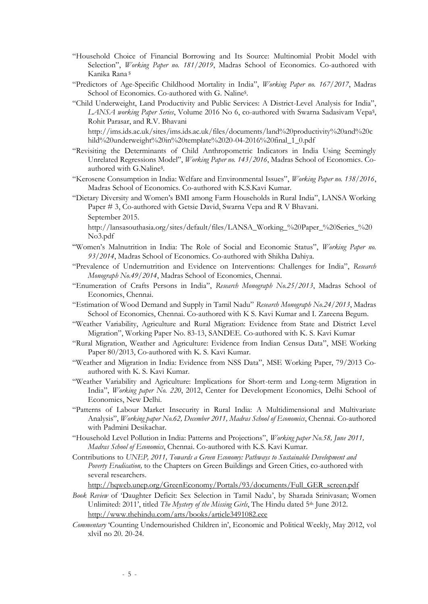- "Household Choice of Financial Borrowing and Its Source: Multinomial Probit Model with Selection", *Working Paper no. 181/2019*, Madras School of Economics. Co-authored with Kanika Rana \$
- "Predictors of Age-Specific Childhood Mortality in India", *Working Paper no. 167/2017*, Madras School of Economics. Co-authored with G. Naline\$ .
- "Child Underweight, Land Productivity and Public Services: A District-Level Analysis for India", LANSA working Paper Series, Volume 2016 No 6, co-authored with Swarna Sadasivam Vepa<sup>ş</sup>, Rohit Parasar, and R.V. Bhavani

http://ims.ids.ac.uk/sites/ims.ids.ac.uk/files/documents/land%20productivity%20and%20c hild%20underweight%20in%20template%2020-04-2016%20final\_1\_0.pdf

- "Revisiting the Determinants of Child Anthropometric Indicators in India Using Seemingly Unrelated Regressions Model", *Working Paper no. 143/2016*, Madras School of Economics. Coauthored with G.Naline\$ .
- "Kerosene Consumption in India: Welfare and Environmental Issues", *Working Paper no. 138/2016*, Madras School of Economics. Co-authored with K.S.Kavi Kumar.
- "Dietary Diversity and Women's BMI among Farm Households in Rural India", LANSA Working Paper # 3, Co-authored with Getsie David, Swarna Vepa and R V Bhavani. September 2015.

http://lansasouthasia.org/sites/default/files/LANSA\_Working\_%20Paper\_%20Series\_%20 No3.pdf

- "Women's Malnutrition in India: The Role of Social and Economic Status", *Working Paper no. 93/2014*, Madras School of Economics. Co-authored with Shikha Dahiya.
- "Prevalence of Undernutrition and Evidence on Interventions: Challenges for India", *Research Monograph No.49/2014*, Madras School of Economics, Chennai.
- "Enumeration of Crafts Persons in India", *Research Monograph No.25/2013*, Madras School of Economics, Chennai.
- "Estimation of Wood Demand and Supply in Tamil Nadu" *Research Monograph No.24/2013*, Madras School of Economics, Chennai. Co-authored with K S. Kavi Kumar and I. Zareena Begum.
- "Weather Variability, Agriculture and Rural Migration: Evidence from State and District Level Migration", Working Paper No. 83-13, SANDEE. Co-authored with K. S. Kavi Kumar
- "Rural Migration, Weather and Agriculture: Evidence from Indian Census Data", MSE Working Paper 80/2013, Co-authored with K. S. Kavi Kumar.
- "Weather and Migration in India: Evidence from NSS Data", MSE Working Paper, 79/2013 Coauthored with K. S. Kavi Kumar.
- "Weather Variability and Agriculture: Implications for Short-term and Long-term Migration in India", *Working paper No. 220*, 2012, Center for Development Economics, Delhi School of Economics, New Delhi.
- "Patterns of Labour Market Insecurity in Rural India: A Multidimensional and Multivariate Analysis", *Working paper No.62, December 2011, Madras School of Economics*, Chennai. Co-authored with Padmini Desikachar.
- "Household Level Pollution in India: Patterns and Projections", *Working paper No.58, June 2011, Madras School of Economics*, Chennai. Co-authored with K.S. Kavi Kumar.
- Contributions to *UNEP, 2011, Towards a Green Economy: Pathways to Sustainable Development and Poverty Eradication,* to the Chapters on Green Buildings and Green Cities, co-authored with several researchers.

[http://hqweb.unep.org/GreenEconomy/Portals/93/documents/Full\\_GER\\_screen.pdf](http://hqweb.unep.org/GreenEconomy/Portals/93/documents/Full_GER_screen.pdf)

- *Book Review* of 'Daughter Deficit: Sex Selection in Tamil Nadu', by Sharada Srinivasan; Women Unlimited: 2011', titled *The Mystery of the Missing Girls*, The Hindu dated 5<sup>th</sup> June 2012. <http://www.thehindu.com/arts/books/article3491082.ece>
- *Commentary* 'Counting Undernourished Children in', Economic and Political Weekly, May 2012, vol xlviI no 20. 20-24.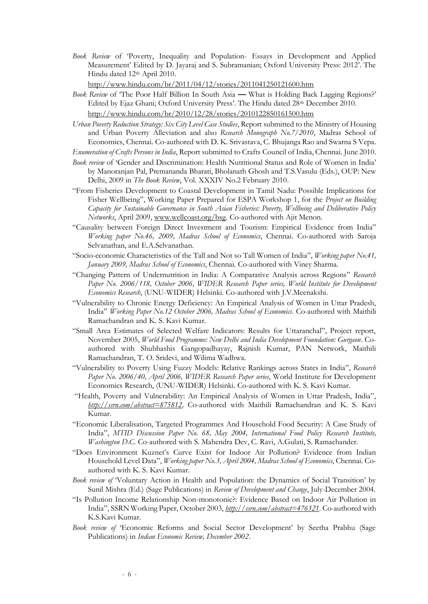*Book Review* of 'Poverty, Inequality and Population- Essays in Development and Applied Measurement' Edited by D. Jayaraj and S. Subramanian; Oxford University Press: 2012'. The Hindu dated 12th April 2010.

<http://www.hindu.com/br/2011/04/12/stories/2011041250121600.htm>

- *Book Review* of 'The Poor Half Billion In South Asia **—** What is Holding Back Lagging Regions?' Edited by Ejaz Ghani; Oxford University Press'. The Hindu dated 28<sup>th</sup> December 2010. <http://www.hindu.com/br/2010/12/28/stories/2010122850161500.htm>
- *Urban Poverty Reduction Strategy: Six City Level Case Studies*, Report submitted to the Ministry of Housing and Urban Poverty Alleviation and also *Research Monograph No.7/2010*, Madras School of Economics, Chennai. Co-authored with D. K. Srivastava, C. Bhujanga Rao and Swarna S Vepa.

*Enumeration of Crafts Persons in India*, Report submitted to Crafts Council of India, Chennai. June 2010.

- *Book review* of 'Gender and Discrimination: Health Nutritional Status and Role of Women in India' by Manoranjan Pal, Premananda Bharati, Bholanath Ghosh and T.S.Vasulu (Eds.), OUP: New Delhi, 2009 in *The Book Review*, Vol. XXXIV No.2 February 2010.
- "From Fisheries Development to Coastal Development in Tamil Nadu: Possible Implications for Fisher Wellbeing", Working Paper Prepared for ESPA Workshop 1, for the *Project on Building Capacity for Sustainable Governance in South Asian Fisheries: Poverty, Wellbeing and Deliberative Policy Networks*, April 2009, [www.wellcoast.org/bsg.](http://www.wellcoast.org/bsg) Co-authored with Ajit Menon.
- "Causality between Foreign Direct Investment and Tourism: Empirical Evidence from India" *Working paper No.46, 2009, Madras School of Economics*, Chennai. Co-authored with Saroja Selvanathan, and E.A.Selvanathan.
- "Socio-economic Characteristics of the Tall and Not so Tall Women of India", *Working paper No.41, January 2009, Madras School of Economics*, Chennai. Co-authored with Viney Sharma.
- "Changing Pattern of Undernutrition in India: A Comparative Analysis across Regions" *Research Paper No. 2006/118, October 2006, WIDER Research Paper series, World Institute for Development Economics Research*, (UNU-WIDER) Helsinki. Co-authored with J.V.Meenakshi.
- "Vulnerability to Chronic Energy Deficiency: An Empirical Analysis of Women in Uttar Pradesh, India" *Working Paper No.12 October 2006, Madras School of Economics*. Co-authored with Maithili Ramachandran and K. S. Kavi Kumar.
- "Small Area Estimates of Selected Welfare Indicators: Results for Uttaranchal", Project report, November 2005, *World Food Programme: New Delhi and India Development Foundation: Gurgaon*. Coauthored with Shubhashis Gangopadhayay, Rajnish Kumar, PAN Network, Maithili Ramachandran, T. O. Sridevi, and Wilima Wadhwa.
- "Vulnerability to Poverty Using Fuzzy Models: Relative Rankings across States in India", *Research Paper No. 2006/40, April 2006, WIDER Research Paper series*, World Institute for Development Economics Research, (UNU-WIDER) Helsinki. Co-authored with K. S. Kavi Kumar.
- "Health, Poverty and Vulnerability: An Empirical Analysis of Women in Uttar Pradesh, India", *[http://ssrn.com/abstract=875812,](http://ssrn.com/abstract=875812)* Co-authored with Maithili Ramachandran and K. S. Kavi Kumar.
- "Economic Liberalisation, Targeted Programmes And Household Food Security: A Case Study of India", *MTID Discussion Paper No. 68, May 2004, International Food Policy Research Institute, Washington D.C.* Co-authored with S. Mahendra Dev, C. Ravi, A.Gulati, S. Ramachander.
- "Does Environment Kuznet's Curve Exist for Indoor Air Pollution? Evidence from Indian Household Level Data", *Working paper No.3, April 2004, Madras School of Economics*, Chennai. Coauthored with K. S. Kavi Kumar.
- *Book review of* 'Voluntary Action in Health and Population: the Dynamics of Social Transition' by Sunil Mishra (Ed.) (Sage Publications) in *Review of Development and Change*, July-December 2004.
- "Is Pollution Income Relationship Non-monotonic?: Evidence Based on Indoor Air Pollution in India", SSRN Working Paper, October 2003, *<http://ssrn.com/abstract=476321>*. Co-authored with K.S.Kavi Kumar.
- *Book review of* 'Economic Reforms and Social Sector Development' by Seetha Prabhu (Sage Publications) in *Indian Economic Review, December 2002*.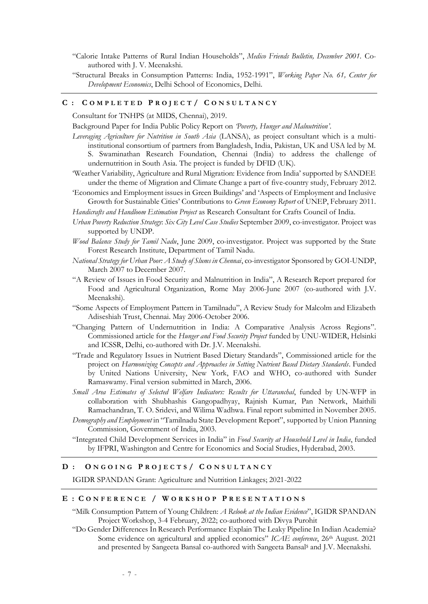- "Calorie Intake Patterns of Rural Indian Households", *Medico Friends Bulletin, December 2001.* Coauthored with J. V. Meenakshi.
- "Structural Breaks in Consumption Patterns: India, 1952-1991", *Working Paper No. 61, Center for Development Economics*, Delhi School of Economics, Delhi.

#### **C : C O M P L E T E D P R O J E C T / C O N S U L T A N C Y**

Consultant for TNHPS (at MIDS, Chennai), 2019.

Background Paper for India Public Policy Report on *'Poverty, Hunger and Malnutrition'*.

- *Leveraging Agriculture for Nutrition in South Asia* (LANSA), as project consultant which is a multiinstitutional consortium of partners from Bangladesh, India, Pakistan, UK and USA led by M. S. Swaminathan Research Foundation, Chennai (India) to address the challenge of undernutrition in South Asia. The project is funded by DFID (UK).
- 'Weather Variability, Agriculture and Rural Migration: Evidence from India' supported by SANDEE under the theme of Migration and Climate Change a part of five-country study, February 2012.
- 'Economics and Employment issues in Green Buildings' and 'Aspects of Employment and Inclusive Growth for Sustainable Cities' Contributions to *Green Economy Report* of UNEP, February 2011.

*Handicrafts and Handloom Estimation Project* as Research Consultant for Crafts Council of India.

- *Urban Poverty Reduction Strategy*: *Six City Level Case Studies* September 2009, co-investigator. Project was supported by UNDP.
- *Wood Balance Study for Tamil Nadu*, June 2009, co-investigator. Project was supported by the State Forest Research Institute, Department of Tamil Nadu.
- *National Strategy for Urban Poor: A Study of Slums in Chennai*, co-investigator Sponsored by GOI-UNDP, March 2007 to December 2007.
- "A Review of Issues in Food Security and Malnutrition in India", A Research Report prepared for Food and Agricultural Organization, Rome May 2006-June 2007 (co-authored with J.V. Meenakshi).
- "Some Aspects of Employment Pattern in Tamilnadu", A Review Study for Malcolm and Elizabeth Adiseshiah Trust, Chennai. May 2006-October 2006.
- "Changing Pattern of Undernutrition in India: A Comparative Analysis Across Regions". Commissioned article for the *Hunger and Food Security Project* funded by UNU-WIDER, Helsinki and ICSSR, Delhi, co-authored with Dr. J.V. Meenakshi.
- "Trade and Regulatory Issues in Nutrient Based Dietary Standards", Commissioned article for the project on *Harmonizing Concepts and Approaches in Setting Nutrient Based Dietary Standards*. Funded by United Nations University, New York, FAO and WHO, co-authored with Sunder Ramaswamy. Final version submitted in March, 2006.
- *Small Area Estimates of Selected Welfare Indicators: Results for Uttaranchal*, funded by UN-WFP in collaboration with Shubhashis Gangopadhyay, Rajnish Kumar, Pan Network, Maithili Ramachandran, T. O. Sridevi, and Wilima Wadhwa. Final report submitted in November 2005.
- *Demography and Employment* in "Tamilnadu State Development Report", supported by Union Planning Commission, Government of India, 2003.
- "Integrated Child Development Services in India" in *Food Security at Household Level in India*, funded by IFPRI, Washington and Centre for Economics and Social Studies, Hyderabad, 2003.

## **D : O N G O I N G P R O J E C T S / C O N S U L T A N C Y**

IGIDR SPANDAN Grant: Agriculture and Nutrition Linkages; 2021-2022

## **E : C O N F E R E N C E / W O R K S H O P P R E S E N T A T I O N S**

"Milk Consumption Pattern of Young Children: *A Relook at the Indian Evidence*", IGIDR SPANDAN Project Workshop, 3-4 February, 2022; co-authored with Divya Purohit

"Do Gender Differences In Research Performance Explain The Leaky Pipeline In Indian Academia? Some evidence on agricultural and applied economics" *ICAE conference*, 26<sup>th</sup> August. 2021 and presented by Sangeeta Bansal co-authored with Sangeeta Bansal\$ and J.V. Meenakshi.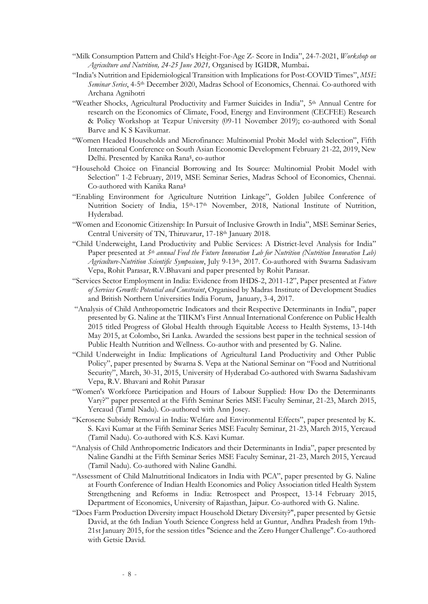- "Milk Consumption Pattern and Child's Height-For-Age Z- Score in India", 24-7-2021, *Workshop on Agriculture and Nutrition, 24-25 June 2021,* Organised by IGIDR, Mumbai**.**
- "India's Nutrition and Epidemiological Transition with Implications for Post-COVID Times", *MSE Seminar Series*, 4-5th December 2020, Madras School of Economics, Chennai. Co-authored with Archana Agnihotri
- "Weather Shocks, Agricultural Productivity and Farmer Suicides in India", 5<sup>th</sup> Annual Centre for research on the Economics of Climate, Food, Energy and Environment (CECFEE) Research & Policy Workshop at Tezpur University (09-11 November 2019); co-authored with Sonal Barve and K S Kavikumar.
- "Women Headed Households and Microfinance: Multinomial Probit Model with Selection", Fifth International Conference on South Asian Economic Development February 21-22, 2019, New Delhi. Presented by Kanika Rana\$ , co-author
- "Household Choice on Financial Borrowing and Its Source: Multinomial Probit Model with Selection" 1-2 February, 2019, MSE Seminar Series, Madras School of Economics, Chennai. Co-authored with Kanika Rana\$
- "Enabling Environment for Agriculture Nutrition Linkage", Golden Jubilee Conference of Nutrition Society of India, 15<sup>th</sup>-17<sup>th</sup> November, 2018, National Institute of Nutrition, Hyderabad.
- "Women and Economic Citizenship: In Pursuit of Inclusive Growth in India", MSE Seminar Series, Central University of TN, Thiruvarur, 17-18th January 2018.
- "Child Underweight, Land Productivity and Public Services: A District-level Analysis for India" Paper presented at *5th annual Feed the Future Innovation Lab for Nutrition (Nutrition Innovation Lab) Agriculture-Nutrition Scientific Symposium*, July 9-13th, 2017. Co-authored with Swarna Sadasivam Vepa, Rohit Parasar, R.V.Bhavani and paper presented by Rohit Parasar.
- "Services Sector Employment in India: Evidence from IHDS-2, 2011-12", Paper presented at *Future of Services Growth: Potential and Constraint*, Organised by Madras Institute of Development Studies and British Northern Universities India Forum, January, 3-4, 2017.
- "Analysis of Child Anthropometric Indicators and their Respective Determinants in India", paper presented by G. Naline at the TIIKM's First Annual International Conference on Public Health 2015 titled Progress of Global Health through Equitable Access to Health Systems, 13-14th May 2015, at Colombo, Sri Lanka. Awarded the sessions best paper in the technical session of Public Health Nutrition and Wellness. Co-author with and presented by G. Naline.
- "Child Underweight in India: Implications of Agricultural Land Productivity and Other Public Policy", paper presented by Swarna S. Vepa at the National Seminar on "Food and Nutritional Security", March, 30-31, 2015, University of Hyderabad Co-authored with Swarna Sadashivam Vepa, R.V. Bhavani and Rohit Parasar
- "Women's Workforce Participation and Hours of Labour Supplied: How Do the Determinants Vary?" paper presented at the Fifth Seminar Series MSE Faculty Seminar, 21-23, March 2015, Yercaud (Tamil Nadu). Co-authored with Ann Josey.
- "Kerosene Subsidy Removal in India: Welfare and Environmental Effects", paper presented by K. S. Kavi Kumar at the Fifth Seminar Series MSE Faculty Seminar, 21-23, March 2015, Yercaud (Tamil Nadu). Co-authored with K.S. Kavi Kumar.
- "Analysis of Child Anthropometric Indicators and their Determinants in India", paper presented by Naline Gandhi at the Fifth Seminar Series MSE Faculty Seminar, 21-23, March 2015, Yercaud (Tamil Nadu). Co-authored with Naline Gandhi.
- "Assessment of Child Malnutritional Indicators in India with PCA", paper presented by G. Naline at Fourth Conference of Indian Health Economics and Policy Association titled Health System Strengthening and Reforms in India: Retrospect and Prospect, 13-14 February 2015, Department of Economics, University of Rajasthan, Jaipur. Co-authored with G. Naline.
- "Does Farm Production Diversity impact Household Dietary Diversity?", paper presented by Getsie David, at the 6th Indian Youth Science Congress held at Guntur, Andhra Pradesh from 19th-21st January 2015, for the session titles "Science and the Zero Hunger Challenge". Co-authored with Getsie David.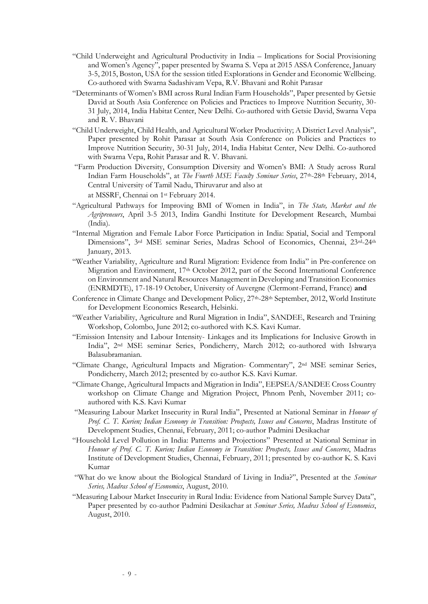- "Child Underweight and Agricultural Productivity in India Implications for Social Provisioning and Women's Agency", paper presented by Swarna S. Vepa at 2015 ASSA Conference, January 3-5, 2015, Boston, USA for the session titled Explorations in Gender and Economic Wellbeing. Co-authored with Swarna Sadashivam Vepa, R.V. Bhavani and Rohit Parasar
- "Determinants of Women's BMI across Rural Indian Farm Households", Paper presented by Getsie David at South Asia Conference on Policies and Practices to Improve Nutrition Security, 30- 31 July, 2014, India Habitat Center, New Delhi. Co-authored with Getsie David, Swarna Vepa and R. V. Bhavani
- "Child Underweight, Child Health, and Agricultural Worker Productivity; A District Level Analysis", Paper presented by Rohit Parasar at South Asia Conference on Policies and Practices to Improve Nutrition Security, 30-31 July, 2014, India Habitat Center, New Delhi. Co-authored with Swarna Vepa, Rohit Parasar and R. V. Bhavani.
- "Farm Production Diversity, Consumption Diversity and Women's BMI: A Study across Rural Indian Farm Households", at *The Fourth MSE Faculty Seminar Series*, 27th-28th February, 2014, Central University of Tamil Nadu, Thiruvarur and also at at MSSRF, Chennai on 1st February 2014.
- "Agricultural Pathways for Improving BMI of Women in India", in *The State, Market and the Agripreneurs*, April 3-5 2013, Indira Gandhi Institute for Development Research, Mumbai (India).
- "Internal Migration and Female Labor Force Participation in India: Spatial, Social and Temporal Dimensions", 3rd MSE seminar Series, Madras School of Economics, Chennai, 23rd-24th January, 2013.
- "Weather Variability, Agriculture and Rural Migration: Evidence from India" in Pre-conference on Migration and Environment, 17th October 2012, part of the Second International Conference on Environment and Natural Resources Management in Developing and Transition Economies (ENRMDTE), 17-18-19 October, University of Auvergne (Clermont-Ferrand, France) **and**
- Conference in Climate Change and Development Policy, 27<sup>th</sup>-28<sup>th</sup> September, 2012, World Institute for Development Economics Research, Helsinki.
- "Weather Variability, Agriculture and Rural Migration in India", SANDEE, Research and Training Workshop, Colombo, June 2012; co-authored with K.S. Kavi Kumar.
- "Emission Intensity and Labour Intensity- Linkages and its Implications for Inclusive Growth in India", 2nd MSE seminar Series, Pondicherry, March 2012; co-authored with Ishwarya Balasubramanian.
- "Climate Change, Agricultural Impacts and Migration- Commentary", 2nd MSE seminar Series, Pondicherry, March 2012; presented by co-author K.S. Kavi Kumar.
- "Climate Change, Agricultural Impacts and Migration in India", EEPSEA/SANDEE Cross Country workshop on Climate Change and Migration Project, Phnom Penh, November 2011; coauthored with K.S. Kavi Kumar
- "Measuring Labour Market Insecurity in Rural India", Presented at National Seminar in *Honour of Prof. C. T. Kurien; Indian Economy in Transition: Prospects, Issues and Concerns*, Madras Institute of Development Studies, Chennai, February, 2011; co-author Padmini Desikachar
- "Household Level Pollution in India: Patterns and Projections" Presented at National Seminar in *Honour of Prof. C. T. Kurien; Indian Economy in Transition: Prospects, Issues and Concerns*, Madras Institute of Development Studies, Chennai, February, 2011; presented by co-author K. S. Kavi Kumar
- "What do we know about the Biological Standard of Living in India?", Presented at the *Seminar Series, Madras School of Economics*, August, 2010.
- "Measuring Labour Market Insecurity in Rural India: Evidence from National Sample Survey Data", Paper presented by co-author Padmini Desikachar at *Seminar Series, Madras School of Economics*, August, 2010.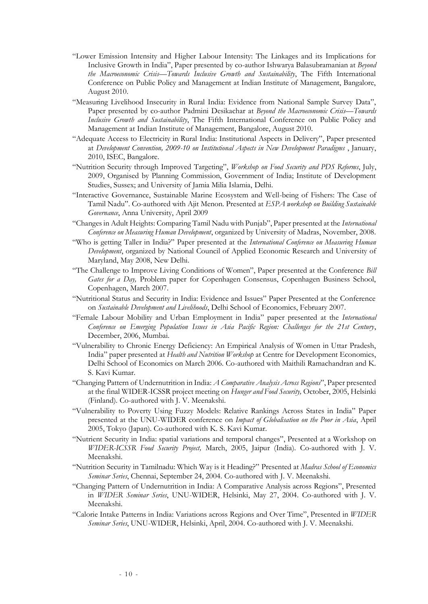- "Lower Emission Intensity and Higher Labour Intensity: The Linkages and its Implications for Inclusive Growth in India", Paper presented by co-author Ishwarya Balasubramanian at *Beyond the Macroeconomic Crisis—Towards Inclusive Growth and Sustainability*, The Fifth International Conference on Public Policy and Management at Indian Institute of Management, Bangalore, August 2010.
- "Measuring Livelihood Insecurity in Rural India: Evidence from National Sample Survey Data", Paper presented by co-author Padmini Desikachar at *Beyond the Macroeconomic Crisis—Towards Inclusive Growth and Sustainability*, The Fifth International Conference on Public Policy and Management at Indian Institute of Management, Bangalore, August 2010.
- "Adequate Access to Electricity in Rural India: Institutional Aspects in Delivery", Paper presented at *Development Convention, 2009-10 on Institutional Aspects in New Development Paradigms* , January, 2010, ISEC, Bangalore.
- "Nutrition Security through Improved Targeting", *Workshop on Food Security and PDS Reforms*, July, 2009, Organised by Planning Commission, Government of India; Institute of Development Studies, Sussex; and University of Jamia Milia Islamia, Delhi.
- "Interactive Governance, Sustainable Marine Ecosystem and Well-being of Fishers: The Case of Tamil Nadu". Co-authored with Ajit Menon. Presented at *ESPA workshop on Building Sustainable Governance*, Anna University, April 2009
- "Changes in Adult Heights: Comparing Tamil Nadu with Punjab", Paper presented at the *International Conference on Measuring Human Development*, organized by University of Madras, November, 2008.
- "Who is getting Taller in India?" Paper presented at the *International Conference on Measuring Human Development*, organized by National Council of Applied Economic Research and University of Maryland, May 2008, New Delhi.
- "The Challenge to Improve Living Conditions of Women", Paper presented at the Conference *Bill Gates for a Day,* Problem paper for Copenhagen Consensus, Copenhagen Business School, Copenhagen, March 2007.
- "Nutritional Status and Security in India: Evidence and Issues" Paper Presented at the Conference on *Sustainable Development and Livelihoods*, Delhi School of Economics, February 2007.
- "Female Labour Mobility and Urban Employment in India" paper presented at the *International Conference on Emerging Population Issues in Asia Pacific Region: Challenges for the 21st Century*, December, 2006, Mumbai.
- "Vulnerability to Chronic Energy Deficiency: An Empirical Analysis of Women in Uttar Pradesh, India" paper presented at *Health and Nutrition Workshop* at Centre for Development Economics, Delhi School of Economics on March 2006. Co-authored with Maithili Ramachandran and K. S. Kavi Kumar.
- "Changing Pattern of Undernutrition in India: *A Comparative Analysis Across Regions*", Paper presented at the final WIDER-ICSSR project meeting on *Hunger and Food Security,* October, 2005, Helsinki (Finland). Co-authored with J. V. Meenakshi.
- "Vulnerability to Poverty Using Fuzzy Models: Relative Rankings Across States in India" Paper presented at the UNU-WIDER conference on *Impact of Globalisation on the Poor in Asia*, April 2005, Tokyo (Japan). Co-authored with K. S. Kavi Kumar.
- "Nutrient Security in India: spatial variations and temporal changes", Presented at a Workshop on *WIDER-ICSSR Food Security Project,* March, 2005, Jaipur (India). Co-authored with J. V. Meenakshi.
- "Nutrition Security in Tamilnadu: Which Way is it Heading?" Presented at *Madras School of Economics Seminar Series*, Chennai, September 24, 2004. Co-authored with J. V. Meenakshi.
- "Changing Pattern of Undernutrition in India: A Comparative Analysis across Regions", Presented in *WIDER Seminar Series*, UNU-WIDER, Helsinki, May 27, 2004. Co-authored with J. V. Meenakshi.
- "Calorie Intake Patterns in India: Variations across Regions and Over Time", Presented in *WIDER Seminar Series*, UNU-WIDER, Helsinki, April, 2004. Co-authored with J. V. Meenakshi.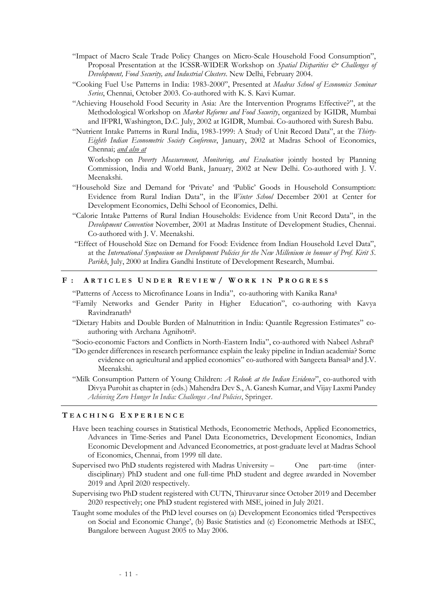- "Impact of Macro Scale Trade Policy Changes on Micro-Scale Household Food Consumption", Proposal Presentation at the ICSSR-WIDER Workshop on *Spatial Disparities & Challenges of Development, Food Security, and Industrial Clusters*. New Delhi, February 2004.
- "Cooking Fuel Use Patterns in India: 1983-2000", Presented at *Madras School of Economics Seminar Series*, Chennai, October 2003. Co-authored with K. S. Kavi Kumar.
- "Achieving Household Food Security in Asia: Are the Intervention Programs Effective?", at the Methodological Workshop on *Market Reforms and Food Security*, organized by IGIDR, Mumbai and IFPRI, Washington, D.C. July, 2002 at IGIDR, Mumbai. Co-authored with Suresh Babu.
- "Nutrient Intake Patterns in Rural India, 1983-1999: A Study of Unit Record Data", at the *Thirty-Eighth Indian Econometric Society Conference*, January, 2002 at Madras School of Economics, Chennai; *and also at*

Workshop on *Poverty Measurement, Monitoring, and Evaluation* jointly hosted by Planning Commission, India and World Bank, January, 2002 at New Delhi. Co-authored with J. V. Meenakshi.

- "Household Size and Demand for 'Private' and 'Public' Goods in Household Consumption: Evidence from Rural Indian Data", in the *Winter School* December 2001 at Center for Development Economics, Delhi School of Economics, Delhi.
- "Calorie Intake Patterns of Rural Indian Households: Evidence from Unit Record Data", in the *Development Convention* November, 2001 at Madras Institute of Development Studies, Chennai. Co-authored with J. V. Meenakshi.
- "Effect of Household Size on Demand for Food: Evidence from Indian Household Level Data", at the *International Symposium on Development Policies for the New Millenium in honour of Prof. Kirit S. Parikh*, July, 2000 at Indira Gandhi Institute of Development Research, Mumbai.

# **F : A R T I C L E S U N D E R R E V I E W / W O R K I N P R O G R E S S**

"Patterns of Access to Microfinance Loans in India", co-authoring with Kanika Rana\$

- "Family Networks and Gender Parity in Higher Education", co-authoring with Kavya Ravindranath\$
- "Dietary Habits and Double Burden of Malnutrition in India: Quantile Regression Estimates" coauthoring with Archana Agnihotri\$ .
- "Socio-economic Factors and Conflicts in North-Eastern India", co-authored with Nabeel Ashraf\$
- "Do gender differences in research performance explain the leaky pipeline in Indian academia? Some evidence on agricultural and applied economics" co-authored with Sangeeta Bansal<sup>§</sup> and J.V. Meenakshi.
- "Milk Consumption Pattern of Young Children: *A Relook at the Indian Evidence*", co-authored with Divya Purohit as chapter in (eds.) Mahendra Dev S., A. Ganesh Kumar, and Vijay Laxmi Pandey *Achieving Zero Hunger In India: Challenges And Policies*, Springer.

#### **T E A C H I N G E X P E R I E N C E**

- Have been teaching courses in Statistical Methods, Econometric Methods, Applied Econometrics, Advances in Time-Series and Panel Data Econometrics, Development Economics, Indian Economic Development and Advanced Econometrics, at post-graduate level at Madras School of Economics, Chennai, from 1999 till date.
- Supervised two PhD students registered with Madras University One part-time (interdisciplinary) PhD student and one full-time PhD student and degree awarded in November 2019 and April 2020 respectively.
- Supervising two PhD student registered with CUTN, Thiruvarur since October 2019 and December 2020 respectively; one PhD student registered with MSE, joined in July 2021.
- Taught some modules of the PhD level courses on (a) Development Economics titled 'Perspectives on Social and Economic Change', (b) Basic Statistics and (c) Econometric Methods at ISEC, Bangalore between August 2005 to May 2006.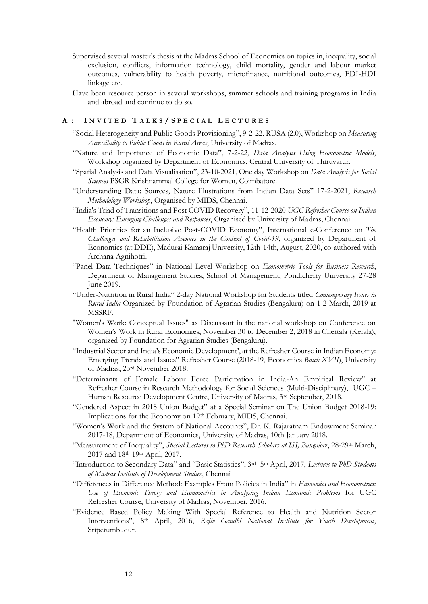- Supervised several master's thesis at the Madras School of Economics on topics in, inequality, social exclusion, conflicts, information technology, child mortality, gender and labour market outcomes, vulnerability to health poverty, microfinance, nutritional outcomes, FDI-HDI linkage etc.
- Have been resource person in several workshops, summer schools and training programs in India and abroad and continue to do so.

#### **A : I N V I T E D T A L K S / S P E C I A L L E C T U R E S**

- "Social Heterogeneity and Public Goods Provisioning", 9-2-22, RUSA (2.0), Workshop on *Measuring Accessibility to Public Goods in Rural Areas*, University of Madras.
- "Nature and Importance of Economic Data", 7-2-22, *Data Analysis Using Econometric Models*, Workshop organized by Department of Economics, Central University of Thiruvarur.
- "Spatial Analysis and Data Visualisation", 23-10-2021, One day Workshop on *Data Analysis for Social Sciences* PSGR Krishnammal College for Women, Coimbatore.
- "Understanding Data: Sources, Nature Illustrations from Indian Data Sets" 17-2-2021, *Research Methodology Workshop*, Organised by MIDS, Chennai.
- "India's Triad of Transitions and Post COVID Recovery", 11-12-2020 *UGC Refresher Course on Indian Economy: Emerging Challenges and Responses*, Organised by University of Madras, Chennai.
- "Health Priorities for an Inclusive Post-COVID Economy", International e-Conference on *The Challenges and Rehabilitation Avenues in the Context of Covid-19*, organized by Department of Economics (at DDE), Madurai Kamaraj University, 12th-14th, August, 2020, co-authored with Archana Agnihotri.
- "Panel Data Techniques" in National Level Workshop on *Econometric Tools for Business Research*, Department of Management Studies, School of Management, Pondicherry University 27-28 June 2019.
- "Under-Nutrition in Rural India" 2-day National Workshop for Students titled *Contemporary Issues in Rural India* Organized by Foundation of Agrarian Studies (Bengaluru) on 1-2 March, 2019 at MSSRF.
- "Women's Work: Conceptual Issues" as Discussant in the national workshop on Conference on Women's Work in Rural Economies, November 30 to December 2, 2018 in Chertala (Kerala), organized by Foundation for Agrarian Studies (Bengaluru).
- "Industrial Sector and India's Economic Development', at the Refresher Course in Indian Economy: Emerging Trends and Issues" Refresher Course (2018-19, Economics *Batch XVII*), University of Madras, 23rd November 2018.
- "Determinants of Female Labour Force Participation in India-An Empirical Review" at Refresher Course in Research Methodology for Social Sciences (Multi-Disciplinary), UGC – Human Resource Development Centre, University of Madras, 3rd September, 2018.
- "Gendered Aspect in 2018 Union Budget" at a Special Seminar on The Union Budget 2018-19: Implications for the Economy on 19th February, MIDS, Chennai.
- "Women's Work and the System of National Accounts", Dr. K. Rajaratnam Endowment Seminar 2017-18, Department of Economics, University of Madras, 10th January 2018.
- "Measurement of Inequality", *Special Lectures to PhD Research Scholars at ISI, Bangalore*, 28-29th March, 2017 and 18th-19th April, 2017.
- "Introduction to Secondary Data" and "Basic Statistics", 3rd -5th April, 2017, *Lectures to PhD Students of Madras Institute of Development Studies*, Chennai
- "Differences in Difference Method: Examples From Policies in India" in *Economics and Econometrics: Use of Economic Theory and Econometrics in Analysing Indian Economic Problems* for UGC Refresher Course, University of Madras, November, 2016.
- "Evidence Based Policy Making With Special Reference to Health and Nutrition Sector Interventions", 8th April, 2016, *Rajiv Gandhi National Institute for Youth Development*, Sriperumbudur.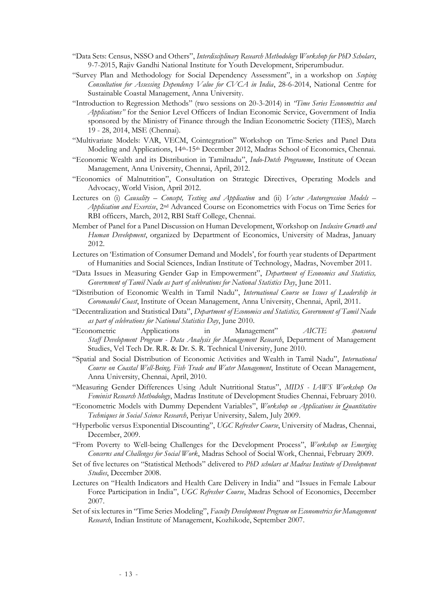- "Data Sets: Census, NSSO and Others", *Interdisciplinary Research Methodology Workshop for PhD Scholars*, 9-7-2015, Rajiv Gandhi National Institute for Youth Development, Sriperumbudur.
- "Survey Plan and Methodology for Social Dependency Assessment", in a workshop on *Scoping Consultation for Assessing Dependency Value for CVCA in India*, 28-6-2014, National Centre for Sustainable Coastal Management, Anna University.
- "Introduction to Regression Methods" (two sessions on 20-3-2014) in *"Time Series Econometrics and Applications"* for the Senior Level Officers of Indian Economic Service, Government of India sponsored by the Ministry of Finance through the Indian Econometric Society (TIES), March 19 - 28, 2014, MSE (Chennai).
- "Multivariate Models: VAR, VECM, Cointegration" Workshop on Time-Series and Panel Data Modeling and Applications, 14<sup>th</sup>-15<sup>th</sup> December 2012, Madras School of Economics, Chennai.
- "Economic Wealth and its Distribution in Tamilnadu", *Indo-Dutch Programme*, Institute of Ocean Management, Anna University, Chennai, April, 2012.
- "Economics of Malnutrition", Consultation on Strategic Directives, Operating Models and Advocacy, World Vision, April 2012.
- Lectures on (i) *Causality – Concept, Testing and Application* and (ii) *Vector Autoregression Models – Application and Exercise*, 2nd Advanced Course on Econometrics with Focus on Time Series for RBI officers, March, 2012, RBI Staff College, Chennai.
- Member of Panel for a Panel Discussion on Human Development, Workshop on *Inclusive Growth and Human Development*, organized by Department of Economics, University of Madras, January 2012.
- Lectures on 'Estimation of Consumer Demand and Models', for fourth year students of Department of Humanities and Social Sciences, Indian Institute of Technology, Madras, November 2011.
- "Data Issues in Measuring Gender Gap in Empowerment", *Department of Economics and Statistics, Government of Tamil Nadu as part of celebrations for National Statistics Day*, June 2011.
- "Distribution of Economic Wealth in Tamil Nadu", *International Course on Issues of Leadership in Coromandel Coast*, Institute of Ocean Management, Anna University, Chennai, April, 2011.
- "Decentralization and Statistical Data", *Department of Economics and Statistics, Government of Tamil Nadu as part of celebrations for National Statistics Day*, June 2010.
- "Econometric Applications in Management" *AICTE sponsored Staff Development Program - Data Analysis for Management Research*, Department of Management Studies, Vel Tech Dr. R.R. & Dr. S. R. Technical University, June 2010.
- "Spatial and Social Distribution of Economic Activities and Wealth in Tamil Nadu", *International Course on Coastal Well-Being, Fish Trade and Water Management*, Institute of Ocean Management, Anna University, Chennai, April, 2010.
- "Measuring Gender Differences Using Adult Nutritional Status", *MIDS - IAWS Workshop On Feminist Research Methodology*, Madras Institute of Development Studies Chennai, February 2010.
- "Econometric Models with Dummy Dependent Variables", *Workshop on Applications in Quantitative Techniques in Social Science Research*, Periyar University, Salem, July 2009.
- "Hyperbolic versus Exponential Discounting", *UGC Refresher Course*, University of Madras, Chennai, December, 2009.
- "From Poverty to Well-being Challenges for the Development Process", *Workshop on Emerging Concerns and Challenges for Social Work*, Madras School of Social Work, Chennai, February 2009.
- Set of five lectures on "Statistical Methods" delivered to *PhD scholars at Madras Institute of Development Studies*, December 2008.
- Lectures on "Health Indicators and Health Care Delivery in India" and "Issues in Female Labour Force Participation in India", *UGC Refresher Course*, Madras School of Economics, December 2007.
- Set of six lectures in "Time Series Modeling", *Faculty Development Program on Econometrics for Management Research*, Indian Institute of Management, Kozhikode, September 2007.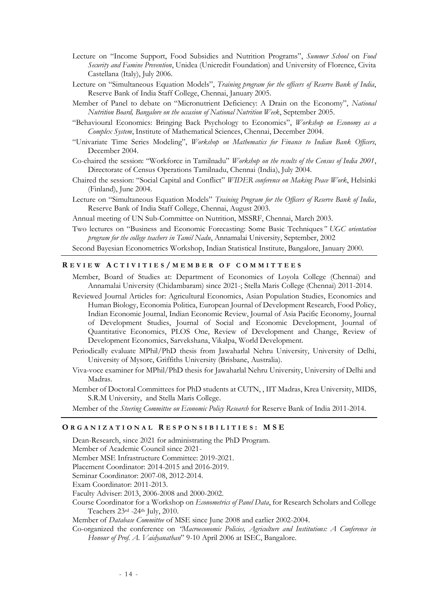- Lecture on "Income Support, Food Subsidies and Nutrition Programs", *Summer School* on *Food Security and Famine Prevention*, Unidea (Unicredit Foundation) and University of Florence, Civita Castellana (Italy), July 2006.
- Lecture on "Simultaneous Equation Models", *Training program for the officers of Reserve Bank of India*, Reserve Bank of India Staff College, Chennai, January 2005.
- Member of Panel to debate on "Micronutrient Deficiency: A Drain on the Economy", *National Nutrition Board, Bangalore on the occasion of National Nutrition Week*, September 2005.
- "Behavioural Economics: Bringing Back Psychology to Economics", *Workshop on Economy as a Complex System*, Institute of Mathematical Sciences, Chennai, December 2004.
- "Univariate Time Series Modeling", *Workshop on Mathematics for Finance to Indian Bank Officers*, December 2004.
- Co-chaired the session: "Workforce in Tamilnadu" *Workshop on the results of the Census of India 2001*, Directorate of Census Operations Tamilnadu, Chennai (India), July 2004.
- Chaired the session: "Social Capital and Conflict" *WIDER conference on Making Peace Work*, Helsinki (Finland), June 2004.
- Lecture on "Simultaneous Equation Models" *Training Program for the Officers of Reserve Bank of India*, Reserve Bank of India Staff College, Chennai, August 2003.
- Annual meeting of UN Sub-Committee on Nutrition, MSSRF, Chennai, March 2003.
- Two lectures on "Business and Economic Forecasting: Some Basic Techniques*" UGC orientation program for the college teachers in Tamil Nadu*, Annamalai University, September, 2002
- Second Bayesian Econometrics Workshop, Indian Statistical Institute, Bangalore, January 2000.

### **R E V I E W A C T I V I T I E S / M E M B E R O F C O M M I T T E E S**

- Member, Board of Studies at: Department of Economics of Loyola College (Chennai) and Annamalai University (Chidambaram) since 2021-; Stella Maris College (Chennai) 2011-2014.
- Reviewed Journal Articles for: Agricultural Economics, Asian Population Studies, Economics and Human Biology, Economia Politica, European Journal of Development Research, Food Policy, Indian Economic Journal, Indian Economic Review, Journal of Asia Pacific Economy, Journal of Development Studies, Journal of Social and Economic Development, Journal of Quantitative Economics, PLOS One, Review of Development and Change, Review of Development Economics, Sarvekshana, Vikalpa, World Development.
- Periodically evaluate MPhil/PhD thesis from Jawaharlal Nehru University, University of Delhi, University of Mysore, Griffiths University (Brisbane, Australia).
- Viva-voce examiner for MPhil/PhD thesis for Jawaharlal Nehru University, University of Delhi and Madras.
- Member of Doctoral Committees for PhD students at CUTN, , IIT Madras, Krea University, MIDS, S.R.M University, and Stella Maris College.
- Member of the *Steering Committee on Economic Policy Research* for Reserve Bank of India 2011-2014.

## **O R G A N I Z A T I O N A L R E S P O N S I B I L I T I E S : M S E**

- Dean-Research, since 2021 for administrating the PhD Program.
- Member of Academic Council since 2021-
- Member MSE Infrastructure Committee: 2019-2021.
- Placement Coordinator: 2014-2015 and 2016-2019.
- Seminar Coordinator: 2007-08, 2012-2014.
- Exam Coordinator: 2011-2013.
- Faculty Adviser: 2013, 2006-2008 and 2000-2002.
- Course Coordinator for a Workshop on *Econometrics of Panel Data*, for Research Scholars and College Teachers 23rd -24th July, 2010.

Member of *Database Committee* of MSE since June 2008 and earlier 2002-2004.

Co-organized the conference on *"Macroeconomic Policies, Agriculture and Institutions: A Conference in Honour of Prof. A. Vaidyanathan*" 9-10 April 2006 at ISEC, Bangalore.